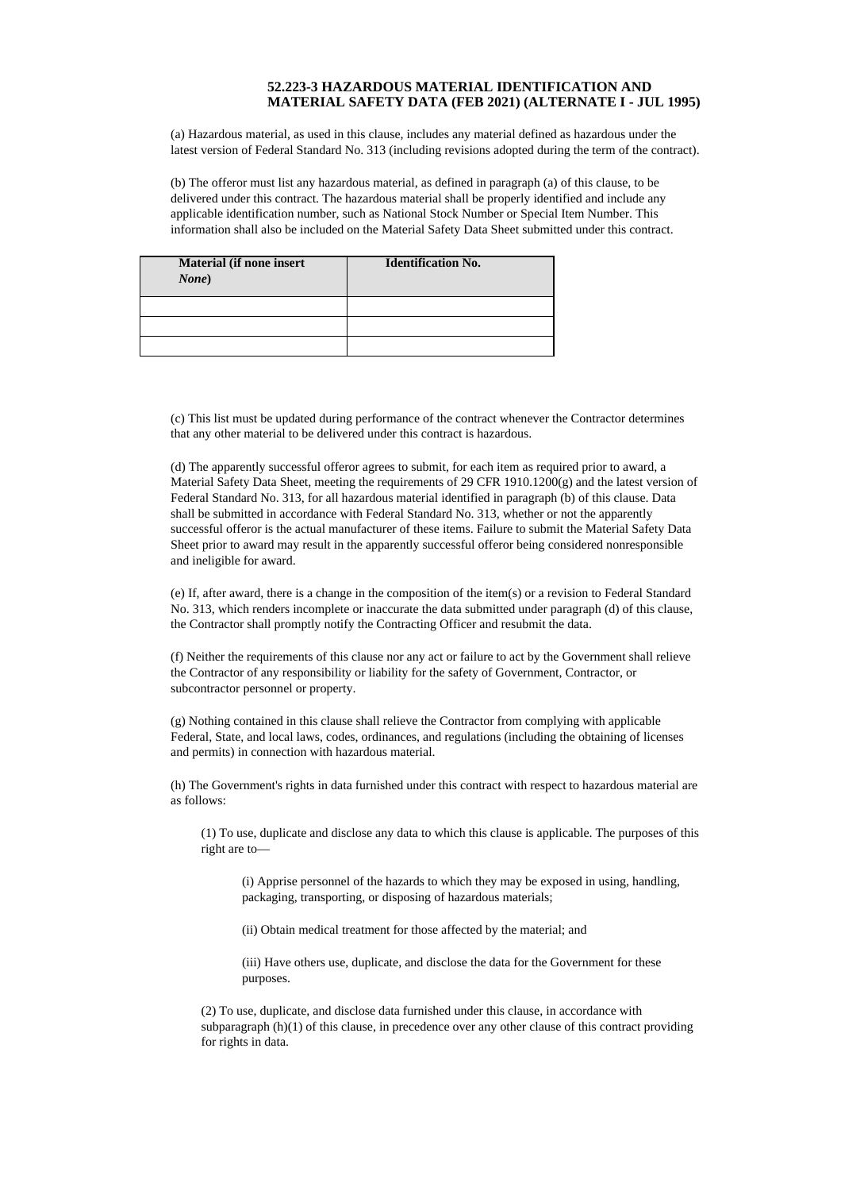## **52.223-3 HAZARDOUS MATERIAL IDENTIFICATION AND MATERIAL SAFETY DATA (FEB 2021) (ALTERNATE I - JUL 1995)**

(a) Hazardous material, as used in this clause, includes any material defined as hazardous under the latest version of Federal Standard No. 313 (including revisions adopted during the term of the contract).

(b) The offeror must list any hazardous material, as defined in paragraph (a) of this clause, to be delivered under this contract. The hazardous material shall be properly identified and include any applicable identification number, such as National Stock Number or Special Item Number. This information shall also be included on the Material Safety Data Sheet submitted under this contract.

| <b>Material (if none insert)</b><br>None) | <b>Identification No.</b> |
|-------------------------------------------|---------------------------|
|                                           |                           |
|                                           |                           |
|                                           |                           |

(c) This list must be updated during performance of the contract whenever the Contractor determines that any other material to be delivered under this contract is hazardous.

(d) The apparently successful offeror agrees to submit, for each item as required prior to award, a Material Safety Data Sheet, meeting the requirements of 29 CFR 1910.1200(g) and the latest version of Federal Standard No. 313, for all hazardous material identified in paragraph (b) of this clause. Data shall be submitted in accordance with Federal Standard No. 313, whether or not the apparently successful offeror is the actual manufacturer of these items. Failure to submit the Material Safety Data Sheet prior to award may result in the apparently successful offeror being considered nonresponsible and ineligible for award.

(e) If, after award, there is a change in the composition of the item(s) or a revision to Federal Standard No. 313, which renders incomplete or inaccurate the data submitted under paragraph (d) of this clause, the Contractor shall promptly notify the Contracting Officer and resubmit the data.

(f) Neither the requirements of this clause nor any act or failure to act by the Government shall relieve the Contractor of any responsibility or liability for the safety of Government, Contractor, or subcontractor personnel or property.

(g) Nothing contained in this clause shall relieve the Contractor from complying with applicable Federal, State, and local laws, codes, ordinances, and regulations (including the obtaining of licenses and permits) in connection with hazardous material.

(h) The Government's rights in data furnished under this contract with respect to hazardous material are as follows:

(1) To use, duplicate and disclose any data to which this clause is applicable. The purposes of this right are to—

(i) Apprise personnel of the hazards to which they may be exposed in using, handling, packaging, transporting, or disposing of hazardous materials;

(ii) Obtain medical treatment for those affected by the material; and

(iii) Have others use, duplicate, and disclose the data for the Government for these purposes.

(2) To use, duplicate, and disclose data furnished under this clause, in accordance with subparagraph (h)(1) of this clause, in precedence over any other clause of this contract providing for rights in data.